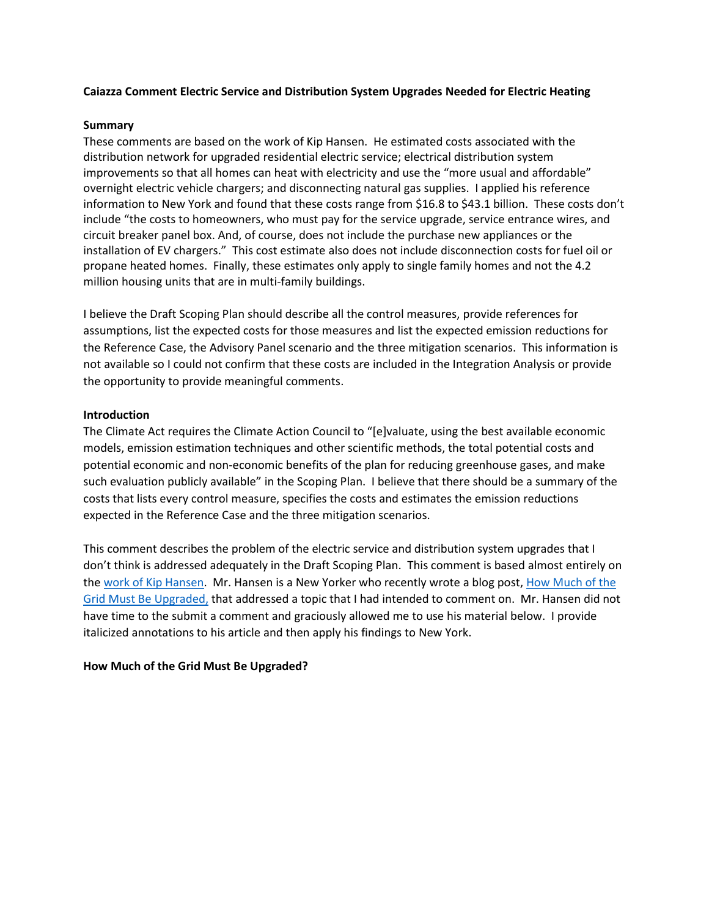### **Caiazza Comment Electric Service and Distribution System Upgrades Needed for Electric Heating**

#### **Summary**

These comments are based on the work of Kip Hansen. He estimated costs associated with the distribution network for upgraded residential electric service; electrical distribution system improvements so that all homes can heat with electricity and use the "more usual and affordable" overnight electric vehicle chargers; and disconnecting natural gas supplies. I applied his reference information to New York and found that these costs range from \$16.8 to \$43.1 billion. These costs don't include "the costs to homeowners, who must pay for the service upgrade, service entrance wires, and circuit breaker panel box. And, of course, does not include the purchase new appliances or the installation of EV chargers." This cost estimate also does not include disconnection costs for fuel oil or propane heated homes. Finally, these estimates only apply to single family homes and not the 4.2 million housing units that are in multi-family buildings.

I believe the Draft Scoping Plan should describe all the control measures, provide references for assumptions, list the expected costs for those measures and list the expected emission reductions for the Reference Case, the Advisory Panel scenario and the three mitigation scenarios. This information is not available so I could not confirm that these costs are included in the Integration Analysis or provide the opportunity to provide meaningful comments.

### **Introduction**

The Climate Act requires the Climate Action Council to "[e]valuate, using the best available economic models, emission estimation techniques and other scientific methods, the total potential costs and potential economic and non-economic benefits of the plan for reducing greenhouse gases, and make such evaluation publicly available" in the Scoping Plan. I believe that there should be a summary of the costs that lists every control measure, specifies the costs and estimates the emission reductions expected in the Reference Case and the three mitigation scenarios.

This comment describes the problem of the electric service and distribution system upgrades that I don't think is addressed adequately in the Draft Scoping Plan. This comment is based almost entirely on th[e work of Kip Hansen.](https://wattsupwiththat.com/author/kiphansen2/) Mr. Hansen is a New Yorker who recently wrote a blog post, [How Much of the](https://wattsupwiththat.com/2022/04/11/how-much-of-the-grid-must-be-upgraded/)  [Grid Must Be Upgraded,](https://wattsupwiththat.com/2022/04/11/how-much-of-the-grid-must-be-upgraded/) that addressed a topic that I had intended to comment on. Mr. Hansen did not have time to the submit a comment and graciously allowed me to use his material below. I provide italicized annotations to his article and then apply his findings to New York.

## **How Much of the Grid Must Be Upgraded?**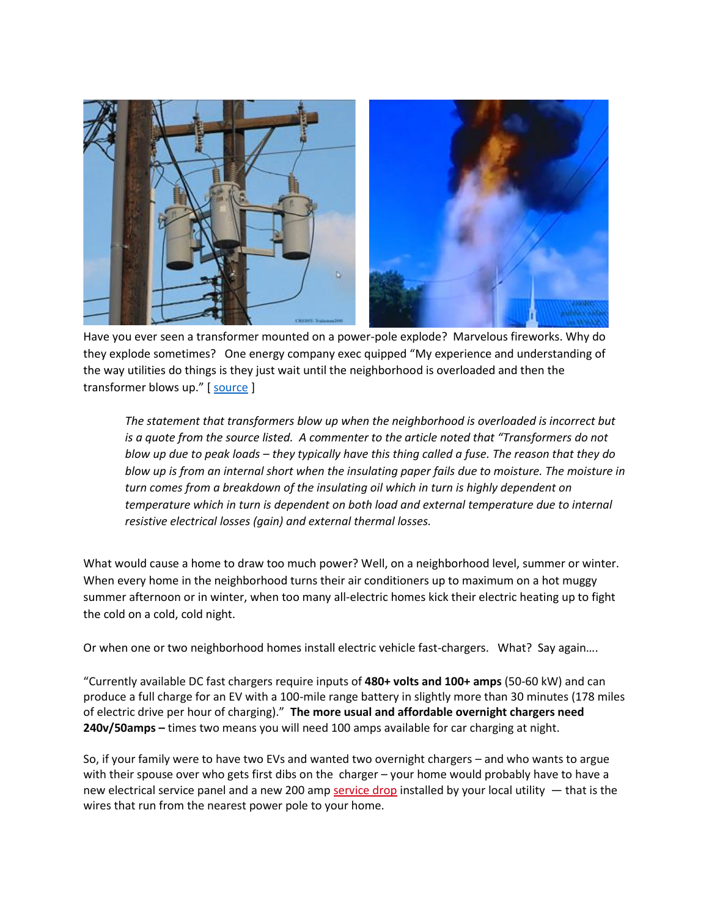

Have you ever seen a transformer mounted on a power-pole explode? Marvelous fireworks. Why do they explode sometimes? One energy company exec quipped "My experience and understanding of the way utilities do things is they just wait until the neighborhood is overloaded and then the transformer blows up." [ [source](https://www.nytimes.com/2021/10/28/business/energy-environment/electric-grid-overload-solar-ev.html) ]

*The statement that transformers blow up when the neighborhood is overloaded is incorrect but is a quote from the source listed. A commenter to the article noted that "Transformers do not blow up due to peak loads – they typically have this thing called a fuse. The reason that they do blow up is from an internal short when the insulating paper fails due to moisture. The moisture in turn comes from a breakdown of the insulating oil which in turn is highly dependent on temperature which in turn is dependent on both load and external temperature due to internal resistive electrical losses (gain) and external thermal losses.*

What would cause a home to draw too much power? Well, on a neighborhood level, summer or winter. When every home in the neighborhood turns their air conditioners up to maximum on a hot muggy summer afternoon or in winter, when too many all-electric homes kick their electric heating up to fight the cold on a cold, cold night.

Or when one or two neighborhood homes install electric vehicle fast-chargers. What? Say again….

"Currently available DC fast chargers require inputs of **480+ volts and 100+ amps** (50-60 kW) and can produce a full charge for an EV with a 100-mile range battery in slightly more than 30 minutes (178 miles of electric drive per hour of charging)." **The more usual and affordable overnight chargers need 240v/50amps –** times two means you will need 100 amps available for car charging at night.

So, if your family were to have two EVs and wanted two overnight chargers – and who wants to argue with their spouse over who gets first dibs on the charger – your home would probably have to have a new electrical service panel and a new 200 amp [service drop](https://en.wikipedia.org/wiki/Service_drop) installed by your local utility — that is the wires that run from the nearest power pole to your home.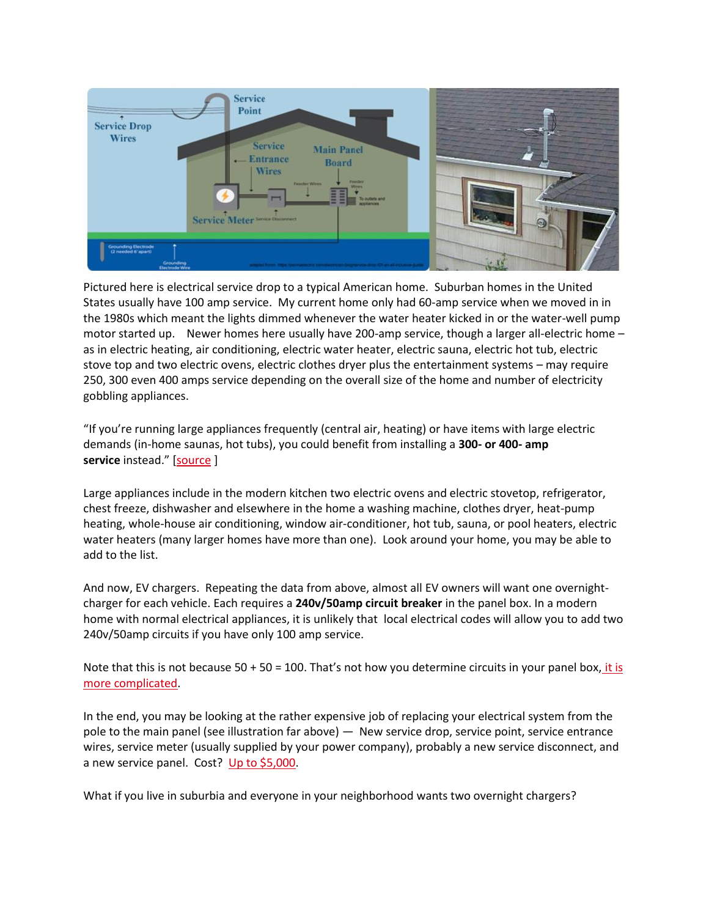

Pictured here is electrical service drop to a typical American home. Suburban homes in the United States usually have 100 amp service. My current home only had 60-amp service when we moved in in the 1980s which meant the lights dimmed whenever the water heater kicked in or the water-well pump motor started up. Newer homes here usually have 200-amp service, though a larger all-electric home – as in electric heating, air conditioning, electric water heater, electric sauna, electric hot tub, electric stove top and two electric ovens, electric clothes dryer plus the entertainment systems – may require 250, 300 even 400 amps service depending on the overall size of the home and number of electricity gobbling appliances.

"If you're running large appliances frequently (central air, heating) or have items with large electric demands (in-home saunas, hot tubs), you could benefit from installing a **300- or 400- amp service** instead." [[source](https://www.angi.com/articles/ask-angie-what-does-it-cost-upgrade-200-amps.htm) ]

Large appliances include in the modern kitchen two electric ovens and electric stovetop, refrigerator, chest freeze, dishwasher and elsewhere in the home a washing machine, clothes dryer, heat-pump heating, whole-house air conditioning, window air-conditioner, hot tub, sauna, or pool heaters, electric water heaters (many larger homes have more than one). Look around your home, you may be able to add to the list.

And now, EV chargers. Repeating the data from above, almost all EV owners will want one overnightcharger for each vehicle. Each requires a **240v/50amp circuit breaker** in the panel box. In a modern home with normal electrical appliances, it is unlikely that local electrical codes will allow you to add two 240v/50amp circuits if you have only 100 amp service.

Note that this is not because 50 + 50 = 100. That's not how you determine circuits in your panel box, it is [more complicated.](https://www.bhg.com/home-improvement/electrical/how-to-check-your-homes-electrical-capacity/)

In the end, you may be looking at the rather expensive job of replacing your electrical system from the pole to the main panel (see illustration far above) — New service drop, service point, service entrance wires, service meter (usually supplied by your power company), probably a new service disconnect, and a new service panel. Cost? [Up to \\$5,000.](https://www.angi.com/articles/ask-angie-what-does-it-cost-upgrade-200-amps.htm)

What if you live in suburbia and everyone in your neighborhood wants two overnight chargers?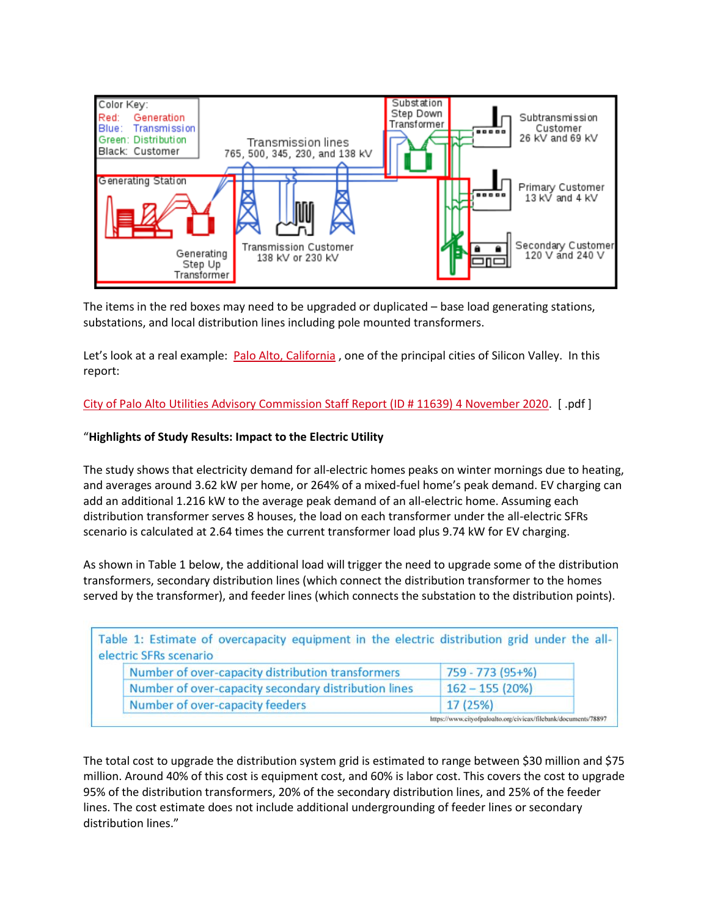

The items in the red boxes may need to be upgraded or duplicated – base load generating stations, substations, and local distribution lines including pole mounted transformers.

Let's look at a real example: [Palo Alto, California](https://en.wikipedia.org/wiki/Palo_Alto,_California), one of the principal cities of Silicon Valley. In this report:

[City of Palo Alto Utilities Advisory Commission Staff Report \(ID # 11639\) 4 November 2020.](https://www.cityofpaloalto.org/civicax/filebank/documents/78897) [ .pdf ]

### "**Highlights of Study Results: Impact to the Electric Utility**

The study shows that electricity demand for all-electric homes peaks on winter mornings due to heating, and averages around 3.62 kW per home, or 264% of a mixed-fuel home's peak demand. EV charging can add an additional 1.216 kW to the average peak demand of an all-electric home. Assuming each distribution transformer serves 8 houses, the load on each transformer under the all-electric SFRs scenario is calculated at 2.64 times the current transformer load plus 9.74 kW for EV charging.

As shown in Table 1 below, the additional load will trigger the need to upgrade some of the distribution transformers, secondary distribution lines (which connect the distribution transformer to the homes served by the transformer), and feeder lines (which connects the substation to the distribution points).

| electric SFRs scenario | Table 1: Estimate of overcapacity equipment in the electric distribution grid under the all- |                                                                 |  |
|------------------------|----------------------------------------------------------------------------------------------|-----------------------------------------------------------------|--|
|                        | Number of over-capacity distribution transformers                                            | 759 - 773 (95+%)                                                |  |
|                        | Number of over-capacity secondary distribution lines                                         | $162 - 155(20%)$                                                |  |
|                        | Number of over-capacity feeders                                                              | 17 (25%)                                                        |  |
|                        |                                                                                              | https://www.cityofpaloalto.org/civicax/filebank/documents/78897 |  |

The total cost to upgrade the distribution system grid is estimated to range between \$30 million and \$75 million. Around 40% of this cost is equipment cost, and 60% is labor cost. This covers the cost to upgrade 95% of the distribution transformers, 20% of the secondary distribution lines, and 25% of the feeder lines. The cost estimate does not include additional undergrounding of feeder lines or secondary distribution lines."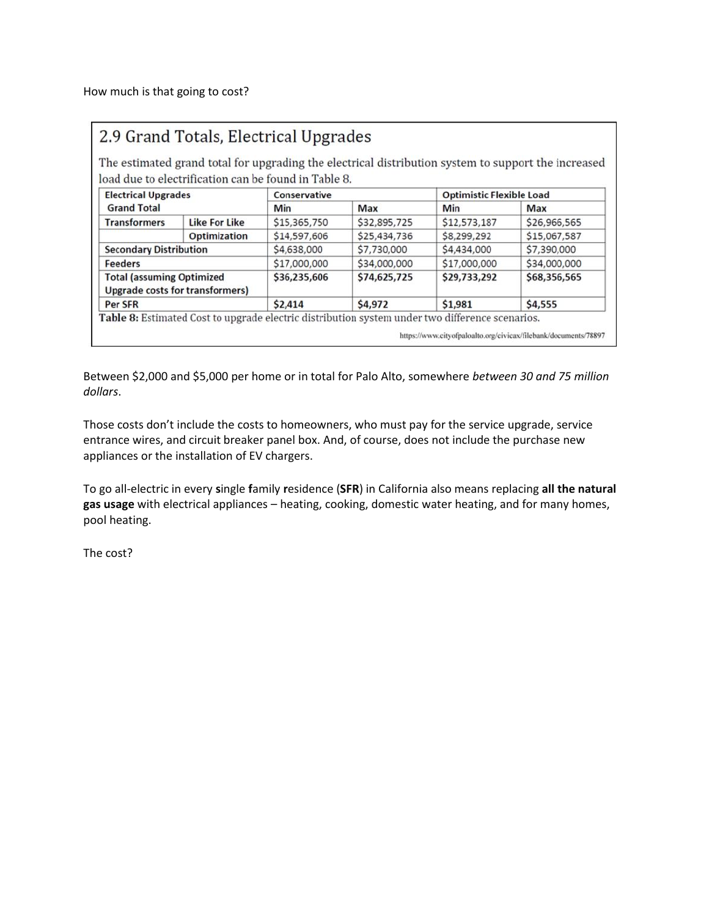|                                                                            | load due to electrification can be found in Table 8. |              |              |                                                                                                 | The estimated grand total for upgrading the electrical distribution system to support the increased |  |
|----------------------------------------------------------------------------|------------------------------------------------------|--------------|--------------|-------------------------------------------------------------------------------------------------|-----------------------------------------------------------------------------------------------------|--|
| <b>Electrical Upgrades</b><br><b>Grand Total</b>                           |                                                      | Conservative |              | <b>Optimistic Flexible Load</b>                                                                 |                                                                                                     |  |
|                                                                            |                                                      | Min          | Max          | <b>Min</b>                                                                                      | Max                                                                                                 |  |
| <b>Transformers</b>                                                        | <b>Like For Like</b>                                 | \$15,365,750 | \$32,895,725 | \$12,573,187                                                                                    | \$26,966,565                                                                                        |  |
|                                                                            | <b>Optimization</b>                                  | \$14,597,606 | \$25,434,736 | \$8,299,292                                                                                     | \$15,067,587                                                                                        |  |
| <b>Secondary Distribution</b>                                              |                                                      | \$4,638,000  | \$7,730,000  | \$4,434,000                                                                                     | \$7,390,000                                                                                         |  |
| <b>Feeders</b>                                                             |                                                      | \$17,000,000 | \$34,000,000 | \$17,000,000                                                                                    | \$34,000,000                                                                                        |  |
| <b>Total (assuming Optimized</b><br><b>Upgrade costs for transformers)</b> |                                                      | \$36,235,606 | \$74,625,725 | \$29,733,292                                                                                    | \$68,356,565                                                                                        |  |
| Per SFR                                                                    |                                                      | \$2,414      | \$4,972      | \$1,981                                                                                         | \$4,555                                                                                             |  |
|                                                                            |                                                      |              |              | Table 8: Estimated Cost to upgrade electric distribution system under two difference scenarios. | https://www.cityofpaloalto.org/civicax/filebank/documents/78897                                     |  |

Between \$2,000 and \$5,000 per home or in total for Palo Alto, somewhere *between 30 and 75 million dollars*.

Those costs don't include the costs to homeowners, who must pay for the service upgrade, service entrance wires, and circuit breaker panel box. And, of course, does not include the purchase new appliances or the installation of EV chargers.

To go all-electric in every **s**ingle **f**amily **r**esidence (**SFR**) in California also means replacing **all the natural gas usage** with electrical appliances – heating, cooking, domestic water heating, and for many homes, pool heating.

The cost?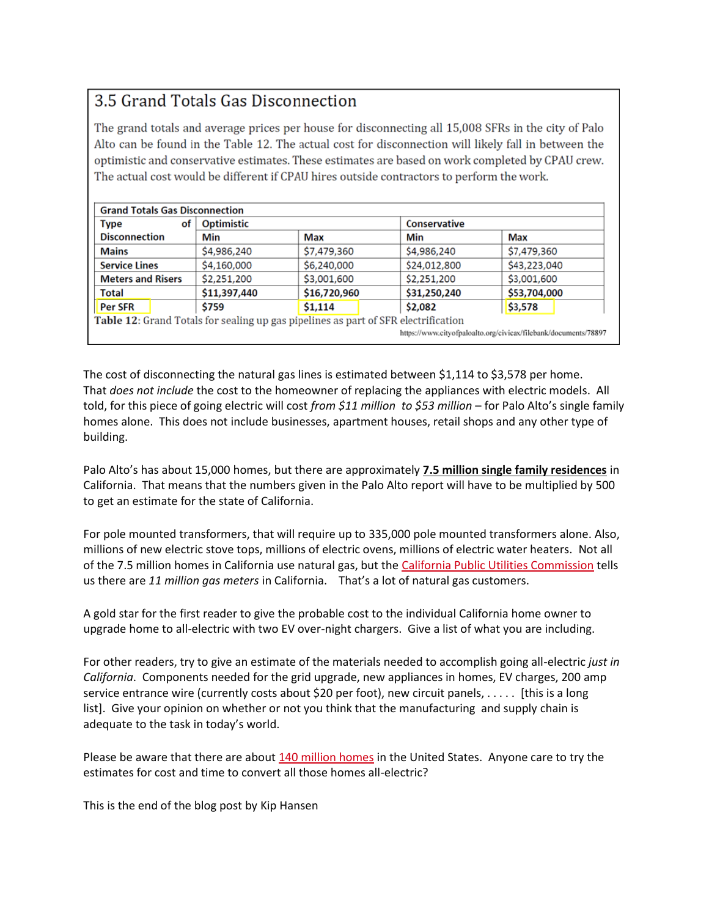# 3.5 Grand Totals Gas Disconnection

The grand totals and average prices per house for disconnecting all 15,008 SFRs in the city of Palo Alto can be found in the Table 12. The actual cost for disconnection will likely fall in between the optimistic and conservative estimates. These estimates are based on work completed by CPAU crew. The actual cost would be different if CPAU hires outside contractors to perform the work.

| of<br><b>Type</b>                                               | <b>Optimistic</b> |                                                                                    | <b>Conservative</b> |              |  |  |  |
|-----------------------------------------------------------------|-------------------|------------------------------------------------------------------------------------|---------------------|--------------|--|--|--|
| <b>Disconnection</b>                                            | Min               | Max                                                                                | Min                 | Max          |  |  |  |
| <b>Mains</b>                                                    | \$4,986,240       | \$7,479,360                                                                        | \$4,986,240         | \$7,479,360  |  |  |  |
| <b>Service Lines</b>                                            | \$4,160,000       | \$6,240,000                                                                        | \$24,012,800        | \$43,223,040 |  |  |  |
| <b>Meters and Risers</b>                                        | \$2,251,200       | \$3,001,600                                                                        | \$2,251,200         | \$3,001,600  |  |  |  |
| <b>Total</b>                                                    | \$11,397,440      | \$16,720,960                                                                       | \$31,250,240        | \$53,704,000 |  |  |  |
| <b>Per SFR</b>                                                  | \$759             | \$1,114                                                                            | \$2,082             | \$3,578      |  |  |  |
|                                                                 |                   | Table 12: Grand Totals for sealing up gas pipelines as part of SFR electrification |                     |              |  |  |  |
| https://www.cityofpaloalto.org/civicax/filebank/documents/78897 |                   |                                                                                    |                     |              |  |  |  |

The cost of disconnecting the natural gas lines is estimated between \$1,114 to \$3,578 per home. That *does not include* the cost to the homeowner of replacing the appliances with electric models. All told, for this piece of going electric will cost *from \$11 million to \$53 million* – for Palo Alto's single family homes alone. This does not include businesses, apartment houses, retail shops and any other type of building.

Palo Alto's has about 15,000 homes, but there are approximately **7.5 million single family residences** in California. That means that the numbers given in the Palo Alto report will have to be multiplied by 500 to get an estimate for the state of California.

For pole mounted transformers, that will require up to 335,000 pole mounted transformers alone. Also, millions of new electric stove tops, millions of electric ovens, millions of electric water heaters. Not all of the 7.5 million homes in California use natural gas, but the [California Public Utilities Commission](https://www.cpuc.ca.gov/natural_gas/) tells us there are *11 million gas meters* in California. That's a lot of natural gas customers.

A gold star for the first reader to give the probable cost to the individual California home owner to upgrade home to all-electric with two EV over-night chargers. Give a list of what you are including.

For other readers, try to give an estimate of the materials needed to accomplish going all-electric *just in California*. Components needed for the grid upgrade, new appliances in homes, EV charges, 200 amp service entrance wire (currently costs about \$20 per foot), new circuit panels, . . . . . [this is a long list]. Give your opinion on whether or not you think that the manufacturing and supply chain is adequate to the task in today's world.

Please be aware that there are about [140 million homes](https://www.urban.org/sites/default/files/publication/101553/housing_supply_chartbook_1.pdf) in the United States. Anyone care to try the estimates for cost and time to convert all those homes all-electric?

This is the end of the blog post by Kip Hansen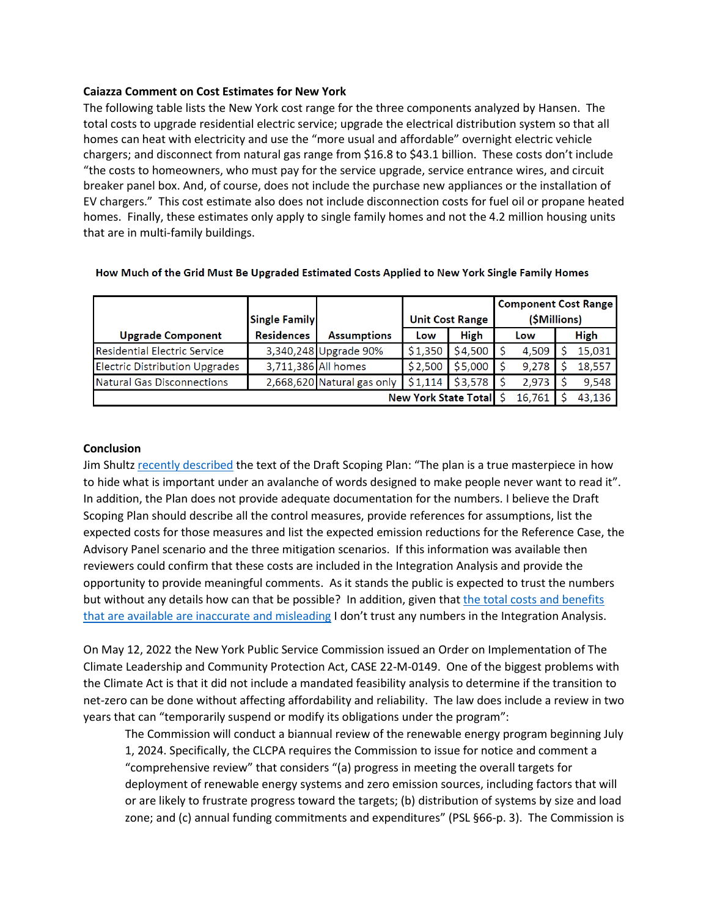### **Caiazza Comment on Cost Estimates for New York**

The following table lists the New York cost range for the three components analyzed by Hansen. The total costs to upgrade residential electric service; upgrade the electrical distribution system so that all homes can heat with electricity and use the "more usual and affordable" overnight electric vehicle chargers; and disconnect from natural gas range from \$16.8 to \$43.1 billion. These costs don't include "the costs to homeowners, who must pay for the service upgrade, service entrance wires, and circuit breaker panel box. And, of course, does not include the purchase new appliances or the installation of EV chargers." This cost estimate also does not include disconnection costs for fuel oil or propane heated homes. Finally, these estimates only apply to single family homes and not the 4.2 million housing units that are in multi-family buildings.

|                                       | <b>Single Family</b> |                            | <b>Unit Cost Range</b> |             | <b>Component Cost Range</b><br>(\$Millions) |  |             |
|---------------------------------------|----------------------|----------------------------|------------------------|-------------|---------------------------------------------|--|-------------|
| <b>Upgrade Component</b>              | <b>Residences</b>    | <b>Assumptions</b>         | Low                    | <b>High</b> | Low                                         |  | <b>High</b> |
| Residential Electric Service          |                      | 3,340,248 Upgrade 90%      | \$1,350                | \$4,500     | 4,509                                       |  | 15,031      |
| <b>Electric Distribution Upgrades</b> |                      | 3,711,386 All homes        | \$2,500                | \$5,000     | 9.278                                       |  | 18,557      |
| Natural Gas Disconnections            |                      | 2,668,620 Natural gas only | \$1.114                | \$3,578     | 2.973                                       |  | 9,548       |
| <b>New York State Totall</b>          |                      |                            |                        |             | 16,761                                      |  | 43,136      |

#### How Much of the Grid Must Be Upgraded Estimated Costs Applied to New York Single Family Homes

### **Conclusion**

Jim Shultz [recently described](https://www.niagara-gazette.com/opinion/shultz-is-new-york-state-coming-after-our-furnaces/article_c2284712-3a29-58f4-a232-9442fe695e04.html) the text of the Draft Scoping Plan: "The plan is a true masterpiece in how to hide what is important under an avalanche of words designed to make people never want to read it". In addition, the Plan does not provide adequate documentation for the numbers. I believe the Draft Scoping Plan should describe all the control measures, provide references for assumptions, list the expected costs for those measures and list the expected emission reductions for the Reference Case, the Advisory Panel scenario and the three mitigation scenarios. If this information was available then reviewers could confirm that these costs are included in the Integration Analysis and provide the opportunity to provide meaningful comments. As it stands the public is expected to trust the numbers but without any details how can that be possible? In addition, given that [the total costs and benefits](https://pragmaticenvironmentalistofnewyork.blog/2022/04/29/climate-act-benefits-greater-than-costs-claim/)  [that are available are inaccurate and misleading](https://pragmaticenvironmentalistofnewyork.blog/2022/04/29/climate-act-benefits-greater-than-costs-claim/) I don't trust any numbers in the Integration Analysis.

On May 12, 2022 the New York Public Service Commission issued an Order on Implementation of The Climate Leadership and Community Protection Act, CASE 22-M-0149. One of the biggest problems with the Climate Act is that it did not include a mandated feasibility analysis to determine if the transition to net-zero can be done without affecting affordability and reliability. The law does include a review in two years that can "temporarily suspend or modify its obligations under the program":

The Commission will conduct a biannual review of the renewable energy program beginning July 1, 2024. Specifically, the CLCPA requires the Commission to issue for notice and comment a "comprehensive review" that considers "(a) progress in meeting the overall targets for deployment of renewable energy systems and zero emission sources, including factors that will or are likely to frustrate progress toward the targets; (b) distribution of systems by size and load zone; and (c) annual funding commitments and expenditures" (PSL §66-p. 3). The Commission is